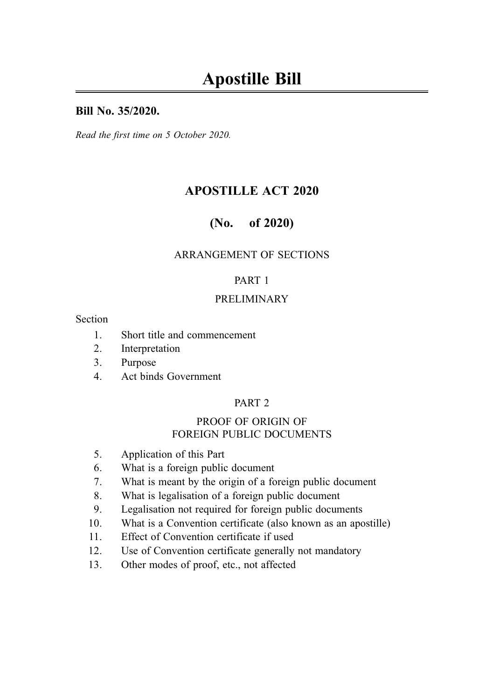### Bill No. **35**/2020.

Read the first time on *5 October* 2020.

# APOSTILLE ACT 2020

## (No. of 2020)

## ARRANGEMENT OF SECTIONS

## PART 1

#### PRELIMINARY

### Section

- 1. Short title and commencement
- 2. Interpretation
- 3. Purpose
- 4. Act binds Government

## PART<sub>2</sub>

### PROOF OF ORIGIN OF FOREIGN PUBLIC DOCUMENTS

- 5. Application of this Part
- 6. What is a foreign public document
- 7. What is meant by the origin of a foreign public document
- 8. What is legalisation of a foreign public document
- 9. Legalisation not required for foreign public documents
- 10. What is a Convention certificate (also known as an apostille)
- 11. Effect of Convention certificate if used
- 12. Use of Convention certificate generally not mandatory
- 13. Other modes of proof, etc., not affected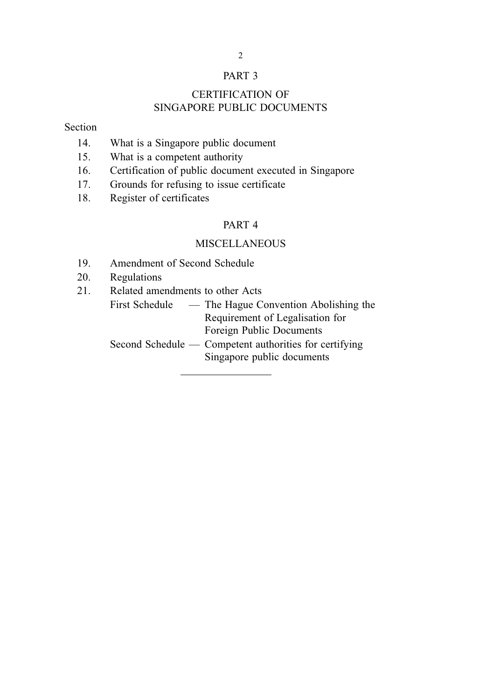### PART 3

## CERTIFICATION OF SINGAPORE PUBLIC DOCUMENTS

### Section

- 14. What is a Singapore public document
- 15. What is a competent authority
- 16. Certification of public document executed in Singapore
- 17. Grounds for refusing to issue certificate
- 18. Register of certificates

### PART 4

### **MISCELLANEOUS**

- 19. Amendment of Second Schedule
- 20. Regulations
- 21. Related amendments to other Acts First Schedule — The Hague Convention Abolishing the Requirement of Legalisation for Foreign Public Documents Second Schedule — Competent authorities for certifying Singapore public documents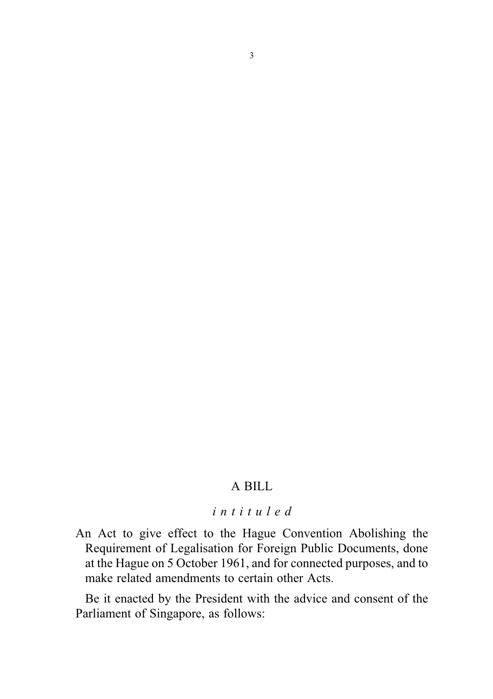# A BILL

## intituled

An Act to give effect to the Hague Convention Abolishing the Requirement of Legalisation for Foreign Public Documents, done at the Hague on 5 October 1961, and for connected purposes, and to make related amendments to certain other Acts.

Be it enacted by the President with the advice and consent of the Parliament of Singapore, as follows: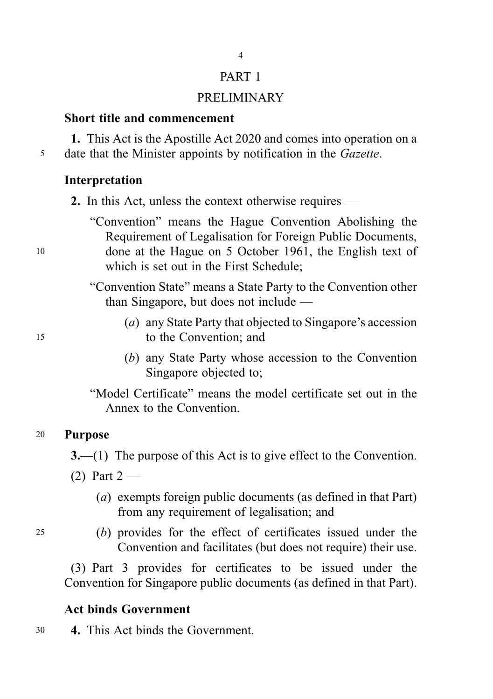# PART 1

# PRELIMINARY

# Short title and commencement

1. This Act is the Apostille Act 2020 and comes into operation on a <sup>5</sup> date that the Minister appoints by notification in the Gazette.

# Interpretation

- 2. In this Act, unless the context otherwise requires —
- "Convention" means the Hague Convention Abolishing the Requirement of Legalisation for Foreign Public Documents, <sup>10</sup> done at the Hague on 5 October 1961, the English text of which is set out in the First Schedule;
	- "Convention State" means a State Party to the Convention other than Singapore, but does not include —
- (a) any State Party that objected to Singapore's accession <sup>15</sup> to the Convention; and
	- (b) any State Party whose accession to the Convention Singapore objected to;

"Model Certificate" means the model certificate set out in the Annex to the Convention.

## <sup>20</sup> Purpose

3.—(1) The purpose of this Act is to give effect to the Convention.

- $(2)$  Part 2
	- (a) exempts foreign public documents (as defined in that Part) from any requirement of legalisation; and
- <sup>25</sup> (b) provides for the effect of certificates issued under the Convention and facilitates (but does not require) their use.

(3) Part 3 provides for certificates to be issued under the Convention for Singapore public documents (as defined in that Part).

# Act binds Government

<sup>30</sup> 4. This Act binds the Government.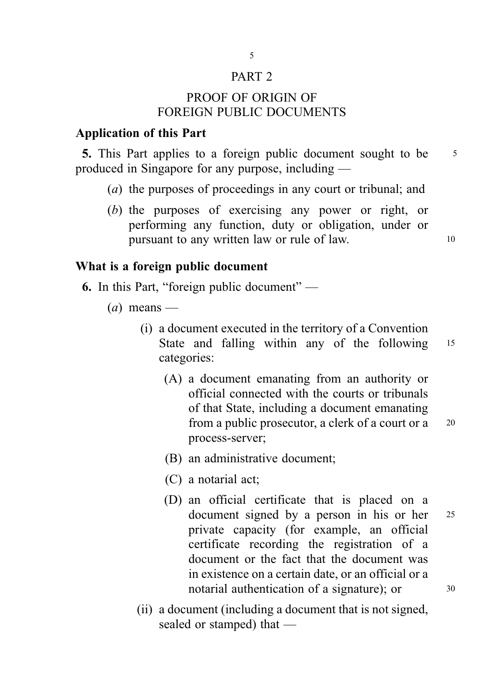## PART<sub>2</sub>

# PROOF OF ORIGIN OF FOREIGN PUBLIC DOCUMENTS

## Application of this Part

5. This Part applies to a foreign public document sought to be 5 produced in Singapore for any purpose, including —

- (a) the purposes of proceedings in any court or tribunal; and
- (b) the purposes of exercising any power or right, or performing any function, duty or obligation, under or pursuant to any written law or rule of law.

## What is a foreign public document

6. In this Part, "foreign public document" —

- $(a)$  means
	- (i) a document executed in the territory of a Convention State and falling within any of the following 15 categories:
		- (A) a document emanating from an authority or official connected with the courts or tribunals of that State, including a document emanating from a public prosecutor, a clerk of a court or a 20 process-server;
		- (B) an administrative document;
		- (C) a notarial act;
		- (D) an official certificate that is placed on a document signed by a person in his or her 25 private capacity (for example, an official certificate recording the registration of a document or the fact that the document was in existence on a certain date, or an official or a notarial authentication of a signature); or  $30$
	- (ii) a document (including a document that is not signed, sealed or stamped) that —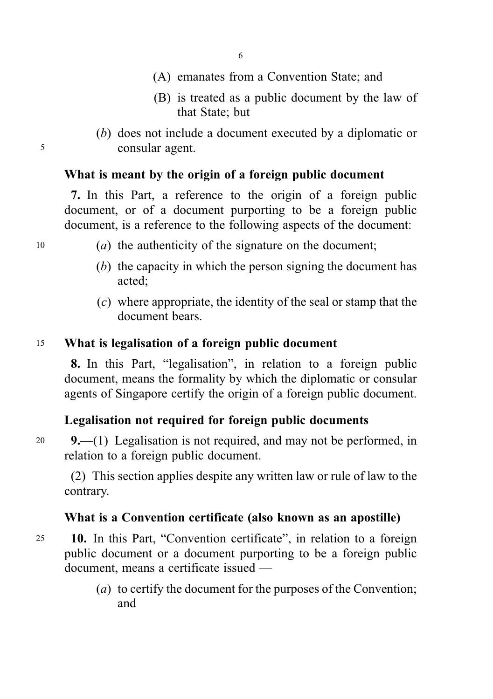- (A) emanates from a Convention State; and
- (B) is treated as a public document by the law of that State; but
- (b) does not include a document executed by a diplomatic or <sup>5</sup> consular agent.

# What is meant by the origin of a foreign public document

7. In this Part, a reference to the origin of a foreign public document, or of a document purporting to be a foreign public document, is a reference to the following aspects of the document:

- <sup>10</sup> (a) the authenticity of the signature on the document;
	- (b) the capacity in which the person signing the document has acted;
	- (c) where appropriate, the identity of the seal or stamp that the document bears.

# <sup>15</sup> What is legalisation of a foreign public document

8. In this Part, "legalisation", in relation to a foreign public document, means the formality by which the diplomatic or consular agents of Singapore certify the origin of a foreign public document.

# Legalisation not required for foreign public documents

20  $9$ , (1) Legalisation is not required, and may not be performed, in relation to a foreign public document.

(2) This section applies despite any written law or rule of law to the contrary.

# What is a Convention certificate (also known as an apostille)

- <sup>25</sup> 10. In this Part, "Convention certificate", in relation to a foreign public document or a document purporting to be a foreign public document, means a certificate issued —
	- (a) to certify the document for the purposes of the Convention; and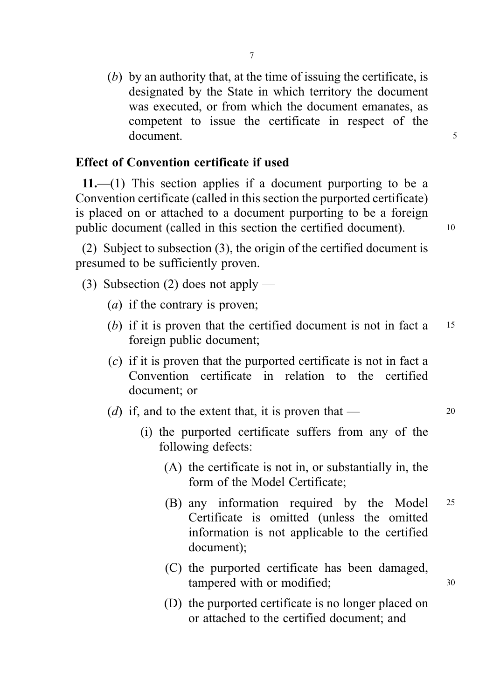(b) by an authority that, at the time of issuing the certificate, is designated by the State in which territory the document was executed, or from which the document emanates, as competent to issue the certificate in respect of the document. 5

# Effect of Convention certificate if used

 $11.$ —(1) This section applies if a document purporting to be a Convention certificate (called in this section the purported certificate) is placed on or attached to a document purporting to be a foreign public document (called in this section the certified document). 10

(2) Subject to subsection (3), the origin of the certified document is presumed to be sufficiently proven.

- (3) Subsection (2) does not apply
	- (*a*) if the contrary is proven;
	- (b) if it is proven that the certified document is not in fact a 15 foreign public document;
	- (c) if it is proven that the purported certificate is not in fact a Convention certificate in relation to the certified document; or
	- (d) if, and to the extent that, it is proven that  $\frac{1}{20}$ 
		- (i) the purported certificate suffers from any of the following defects:
			- (A) the certificate is not in, or substantially in, the form of the Model Certificate;
			- (B) any information required by the Model <sup>25</sup> Certificate is omitted (unless the omitted information is not applicable to the certified document);
			- (C) the purported certificate has been damaged, tampered with or modified; 30
			- (D) the purported certificate is no longer placed on or attached to the certified document; and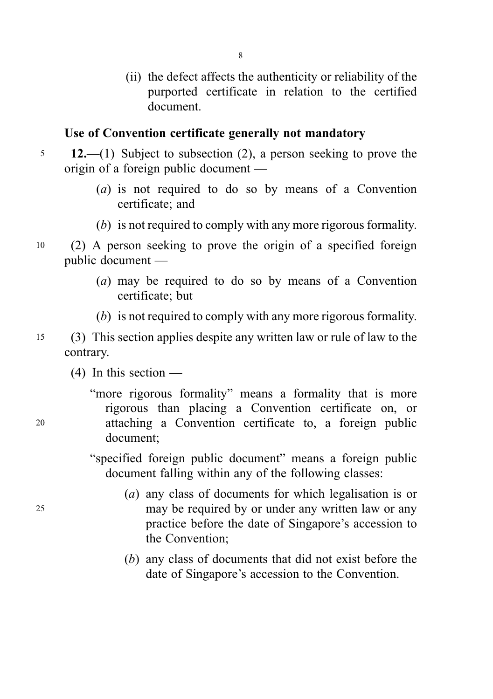(ii) the defect affects the authenticity or reliability of the purported certificate in relation to the certified document.

# Use of Convention certificate generally not mandatory

- <sup>5</sup> 12.—(1) Subject to subsection (2), a person seeking to prove the origin of a foreign public document —
	- (a) is not required to do so by means of a Convention certificate; and
	- (b) is not required to comply with any more rigorous formality.
- <sup>10</sup> (2) A person seeking to prove the origin of a specified foreign public document —
	- (a) may be required to do so by means of a Convention certificate; but
	- (b) is not required to comply with any more rigorous formality.
- <sup>15</sup> (3) This section applies despite any written law or rule of law to the contrary.
	- $(4)$  In this section —

"more rigorous formality" means a formality that is more rigorous than placing a Convention certificate on, or <sup>20</sup> attaching a Convention certificate to, a foreign public document;

> "specified foreign public document" means a foreign public document falling within any of the following classes:

(a) any class of documents for which legalisation is or <sup>25</sup> may be required by or under any written law or any practice before the date of Singapore's accession to the Convention;

> (b) any class of documents that did not exist before the date of Singapore's accession to the Convention.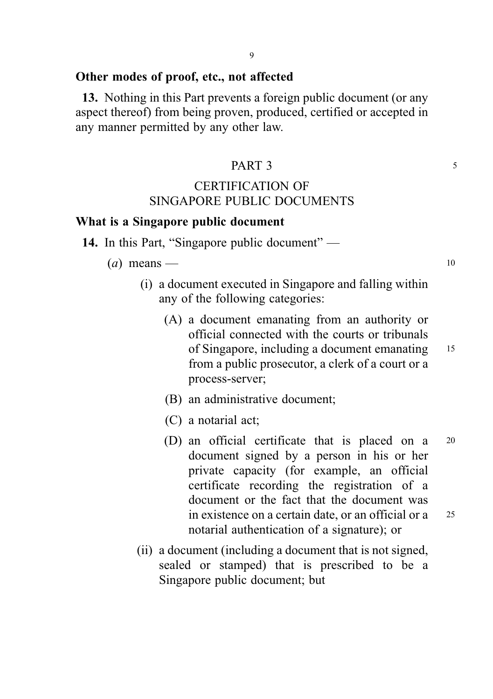## Other modes of proof, etc., not affected

13. Nothing in this Part prevents a foreign public document (or any aspect thereof) from being proven, produced, certified or accepted in any manner permitted by any other law.

# $PART 3$  5

# CERTIFICATION OF SINGAPORE PUBLIC DOCUMENTS

## What is a Singapore public document

14. In this Part, "Singapore public document" —

 $(a)$  means — 10

- (i) a document executed in Singapore and falling within any of the following categories:
	- (A) a document emanating from an authority or official connected with the courts or tribunals of Singapore, including a document emanating <sup>15</sup> from a public prosecutor, a clerk of a court or a process-server;
	- (B) an administrative document;
	- (C) a notarial act;
	- (D) an official certificate that is placed on a <sup>20</sup> document signed by a person in his or her private capacity (for example, an official certificate recording the registration of a document or the fact that the document was in existence on a certain date, or an official or  $a = 25$ notarial authentication of a signature); or
- (ii) a document (including a document that is not signed, sealed or stamped) that is prescribed to be a Singapore public document; but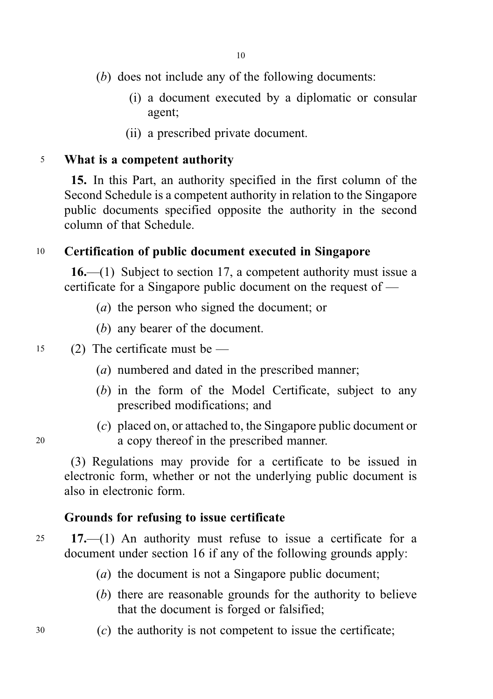- (b) does not include any of the following documents:
	- (i) a document executed by a diplomatic or consular agent;
	- (ii) a prescribed private document.

# <sup>5</sup> What is a competent authority

15. In this Part, an authority specified in the first column of the Second Schedule is a competent authority in relation to the Singapore public documents specified opposite the authority in the second column of that Schedule.

# <sup>10</sup> Certification of public document executed in Singapore

16.—(1) Subject to section 17, a competent authority must issue a certificate for a Singapore public document on the request of —

- (a) the person who signed the document; or
- (b) any bearer of the document.
- <sup>15</sup> (2) The certificate must be
	- (a) numbered and dated in the prescribed manner;
	- (b) in the form of the Model Certificate, subject to any prescribed modifications; and
- (c) placed on, or attached to, the Singapore public document or <sup>20</sup> a copy thereof in the prescribed manner.

(3) Regulations may provide for a certificate to be issued in electronic form, whether or not the underlying public document is also in electronic form.

# Grounds for refusing to issue certificate

<sup>25</sup> 17.—(1) An authority must refuse to issue a certificate for a document under section 16 if any of the following grounds apply:

- (a) the document is not a Singapore public document;
- (b) there are reasonable grounds for the authority to believe that the document is forged or falsified;
- <sup>30</sup> (c) the authority is not competent to issue the certificate;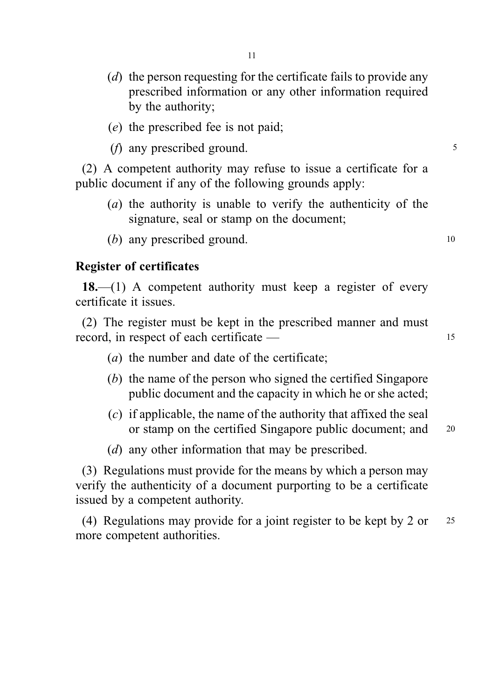- (d) the person requesting for the certificate fails to provide any prescribed information or any other information required by the authority;
- (e) the prescribed fee is not paid;
- (*f*) any prescribed ground. 5

(2) A competent authority may refuse to issue a certificate for a public document if any of the following grounds apply:

- (a) the authority is unable to verify the authenticity of the signature, seal or stamp on the document;
- $(b)$  any prescribed ground.  $10$

## Register of certificates

18.—(1) A competent authority must keep a register of every certificate it issues.

(2) The register must be kept in the prescribed manner and must record, in respect of each certificate — 15

- (a) the number and date of the certificate:
- (b) the name of the person who signed the certified Singapore public document and the capacity in which he or she acted;
- (c) if applicable, the name of the authority that affixed the seal or stamp on the certified Singapore public document; and <sup>20</sup>
- (*d*) any other information that may be prescribed.

(3) Regulations must provide for the means by which a person may verify the authenticity of a document purporting to be a certificate issued by a competent authority.

(4) Regulations may provide for a joint register to be kept by 2 or <sup>25</sup> more competent authorities.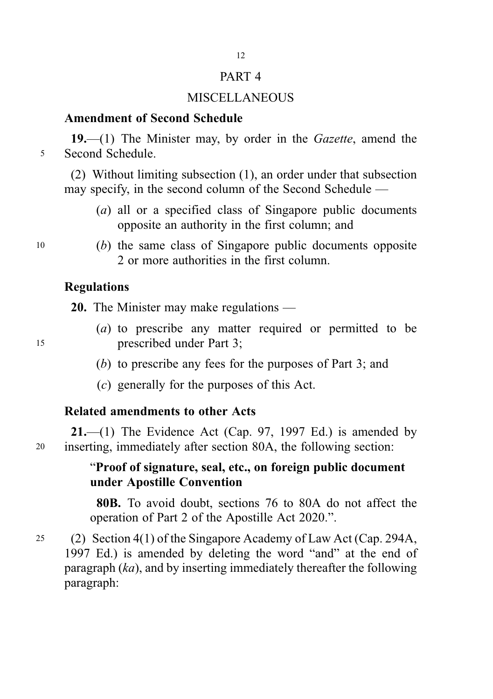# PART 4

# **MISCELLANEOUS**

# Amendment of Second Schedule

19.—(1) The Minister may, by order in the *Gazette*, amend the <sup>5</sup> Second Schedule.

(2) Without limiting subsection (1), an order under that subsection may specify, in the second column of the Second Schedule —

- (a) all or a specified class of Singapore public documents opposite an authority in the first column; and
- <sup>10</sup> (b) the same class of Singapore public documents opposite 2 or more authorities in the first column.

## Regulations

20. The Minister may make regulations —

- (a) to prescribe any matter required or permitted to be <sup>15</sup> prescribed under Part 3;
	- (b) to prescribe any fees for the purposes of Part 3; and
	- (c) generally for the purposes of this Act.

# Related amendments to other Acts

**21.**—(1) The Evidence Act (Cap. 97, 1997 Ed.) is amended by <sup>20</sup> inserting, immediately after section 80A, the following section:

# "Proof of signature, seal, etc., on foreign public document under Apostille Convention

80B. To avoid doubt, sections 76 to 80A do not affect the operation of Part 2 of the Apostille Act 2020.".

<sup>25</sup> (2) Section 4(1) of the Singapore Academy of Law Act (Cap. 294A, 1997 Ed.) is amended by deleting the word "and" at the end of paragraph  $(ka)$ , and by inserting immediately thereafter the following paragraph: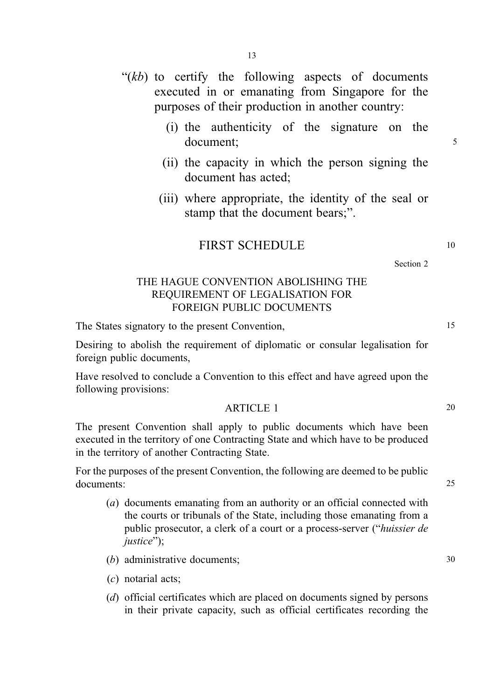- " $(kb)$  to certify the following aspects of documents" executed in or emanating from Singapore for the purposes of their production in another country:
	- (i) the authenticity of the signature on the document: 5
	- (ii) the capacity in which the person signing the document has acted;
	- (iii) where appropriate, the identity of the seal or stamp that the document bears;".

## FIRST SCHEDULE 10

Section 2

### THE HAGUE CONVENTION ABOLISHING THE REQUIREMENT OF LEGALISATION FOR FOREIGN PUBLIC DOCUMENTS

The States signatory to the present Convention, 15

Desiring to abolish the requirement of diplomatic or consular legalisation for foreign public documents,

Have resolved to conclude a Convention to this effect and have agreed upon the following provisions:

## ARTICLE 1 20

The present Convention shall apply to public documents which have been executed in the territory of one Contracting State and which have to be produced in the territory of another Contracting State.

For the purposes of the present Convention, the following are deemed to be public documents: 25

- (a) documents emanating from an authority or an official connected with the courts or tribunals of the State, including those emanating from a public prosecutor, a clerk of a court or a process-server ("huissier de justice");
- (b) administrative documents; 30
- (c) notarial acts;
- (d) official certificates which are placed on documents signed by persons in their private capacity, such as official certificates recording the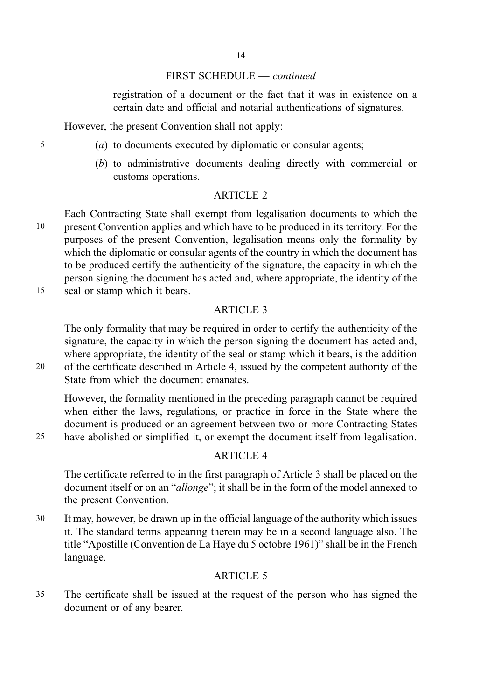#### FIRST SCHEDULE — continued

registration of a document or the fact that it was in existence on a certain date and official and notarial authentications of signatures.

However, the present Convention shall not apply:

- 5 (a) to documents executed by diplomatic or consular agents;
	- (b) to administrative documents dealing directly with commercial or customs operations.

### ARTICLE 2

Each Contracting State shall exempt from legalisation documents to which the 10 present Convention applies and which have to be produced in its territory. For the purposes of the present Convention, legalisation means only the formality by which the diplomatic or consular agents of the country in which the document has to be produced certify the authenticity of the signature, the capacity in which the person signing the document has acted and, where appropriate, the identity of the 15 seal or stamp which it bears.

### ARTICLE<sub>3</sub>

The only formality that may be required in order to certify the authenticity of the signature, the capacity in which the person signing the document has acted and, where appropriate, the identity of the seal or stamp which it bears, is the addition 20 of the certificate described in Article 4, issued by the competent authority of the State from which the document emanates.

However, the formality mentioned in the preceding paragraph cannot be required when either the laws, regulations, or practice in force in the State where the document is produced or an agreement between two or more Contracting States 25 have abolished or simplified it, or exempt the document itself from legalisation.

#### ARTICLE 4

The certificate referred to in the first paragraph of Article 3 shall be placed on the document itself or on an "*allonge*"; it shall be in the form of the model annexed to the present Convention.

30 It may, however, be drawn up in the official language of the authority which issues it. The standard terms appearing therein may be in a second language also. The title "Apostille (Convention de La Haye du 5 octobre 1961)" shall be in the French language.

### ARTICLE 5

35 The certificate shall be issued at the request of the person who has signed the document or of any bearer.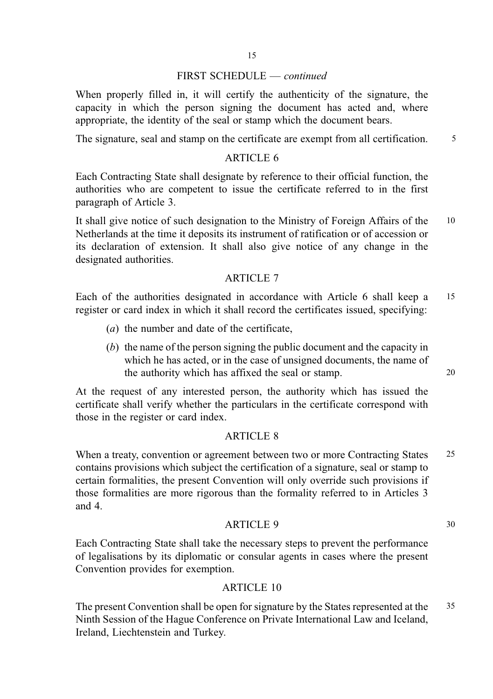#### FIRST SCHEDULE — continued

When properly filled in, it will certify the authenticity of the signature, the capacity in which the person signing the document has acted and, where appropriate, the identity of the seal or stamp which the document bears.

The signature, seal and stamp on the certificate are exempt from all certification. 5

#### ARTICLE 6

Each Contracting State shall designate by reference to their official function, the authorities who are competent to issue the certificate referred to in the first paragraph of Article 3.

It shall give notice of such designation to the Ministry of Foreign Affairs of the 10 Netherlands at the time it deposits its instrument of ratification or of accession or its declaration of extension. It shall also give notice of any change in the designated authorities.

#### ARTICLE 7

Each of the authorities designated in accordance with Article 6 shall keep a 15 register or card index in which it shall record the certificates issued, specifying:

- (a) the number and date of the certificate,
- (b) the name of the person signing the public document and the capacity in which he has acted, or in the case of unsigned documents, the name of the authority which has affixed the seal or stamp. 20

At the request of any interested person, the authority which has issued the certificate shall verify whether the particulars in the certificate correspond with those in the register or card index.

### ARTICLE 8

When a treaty, convention or agreement between two or more Contracting States 25 contains provisions which subject the certification of a signature, seal or stamp to certain formalities, the present Convention will only override such provisions if those formalities are more rigorous than the formality referred to in Articles 3 and 4.

#### ARTICLE 9 30

Each Contracting State shall take the necessary steps to prevent the performance of legalisations by its diplomatic or consular agents in cases where the present Convention provides for exemption.

#### ARTICLE 10

The present Convention shall be open for signature by the States represented at the 35 Ninth Session of the Hague Conference on Private International Law and Iceland, Ireland, Liechtenstein and Turkey.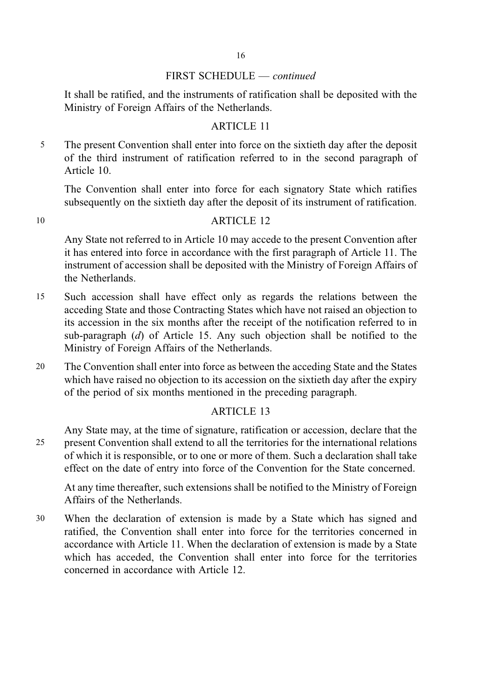#### 16

#### FIRST SCHEDULE — continued

It shall be ratified, and the instruments of ratification shall be deposited with the Ministry of Foreign Affairs of the Netherlands.

#### ARTICLE 11

5 The present Convention shall enter into force on the sixtieth day after the deposit of the third instrument of ratification referred to in the second paragraph of Article 10.

The Convention shall enter into force for each signatory State which ratifies subsequently on the sixtieth day after the deposit of its instrument of ratification.

### 10 ARTICLE 12

Any State not referred to in Article 10 may accede to the present Convention after it has entered into force in accordance with the first paragraph of Article 11. The instrument of accession shall be deposited with the Ministry of Foreign Affairs of the Netherlands.

- 15 Such accession shall have effect only as regards the relations between the acceding State and those Contracting States which have not raised an objection to its accession in the six months after the receipt of the notification referred to in sub-paragraph  $(d)$  of Article 15. Any such objection shall be notified to the Ministry of Foreign Affairs of the Netherlands.
- 20 The Convention shall enter into force as between the acceding State and the States which have raised no objection to its accession on the sixtieth day after the expiry of the period of six months mentioned in the preceding paragraph.

## ARTICLE 13

Any State may, at the time of signature, ratification or accession, declare that the 25 present Convention shall extend to all the territories for the international relations of which it is responsible, or to one or more of them. Such a declaration shall take effect on the date of entry into force of the Convention for the State concerned.

At any time thereafter, such extensions shall be notified to the Ministry of Foreign Affairs of the Netherlands.

30 When the declaration of extension is made by a State which has signed and ratified, the Convention shall enter into force for the territories concerned in accordance with Article 11. When the declaration of extension is made by a State which has acceded, the Convention shall enter into force for the territories concerned in accordance with Article 12.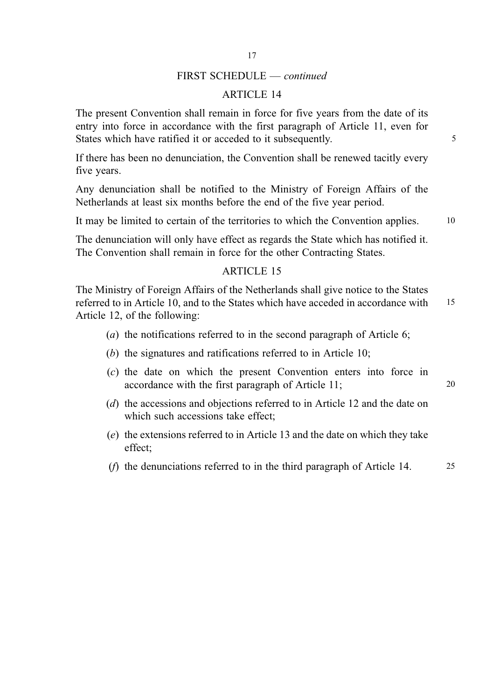#### 17

#### FIRST SCHEDULE — continued

#### ARTICLE 14

The present Convention shall remain in force for five years from the date of its entry into force in accordance with the first paragraph of Article 11, even for States which have ratified it or acceded to it subsequently.  $\frac{5}{5}$ 

If there has been no denunciation, the Convention shall be renewed tacitly every five years.

Any denunciation shall be notified to the Ministry of Foreign Affairs of the Netherlands at least six months before the end of the five year period.

It may be limited to certain of the territories to which the Convention applies. 10

The denunciation will only have effect as regards the State which has notified it. The Convention shall remain in force for the other Contracting States.

#### ARTICLE 15

The Ministry of Foreign Affairs of the Netherlands shall give notice to the States referred to in Article 10, and to the States which have acceded in accordance with 15 Article 12, of the following:

- (a) the notifications referred to in the second paragraph of Article 6;
- (b) the signatures and ratifications referred to in Article 10;
- (c) the date on which the present Convention enters into force in accordance with the first paragraph of Article 11; 20
- (d) the accessions and objections referred to in Article 12 and the date on which such accessions take effect;
- (e) the extensions referred to in Article 13 and the date on which they take effect;
- (*f*) the denunciations referred to in the third paragraph of Article  $14.$  25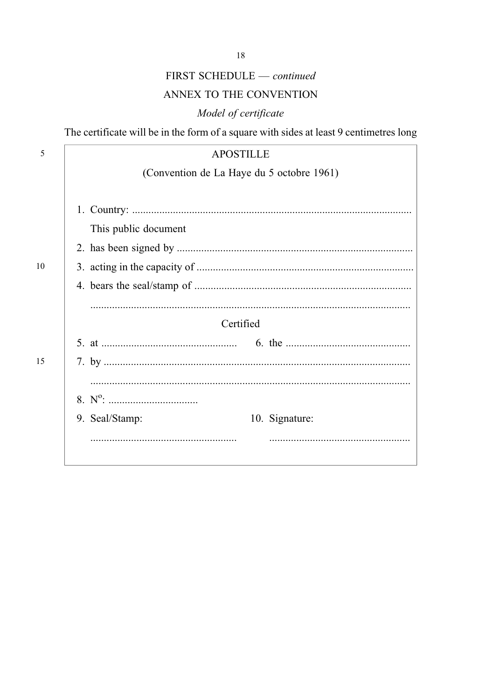# FIRST SCHEDULE - continued

18

# ANNEX TO THE CONVENTION

# Model of certificate

The certificate will be in the form of a square with sides at least 9 centimetres long

| 5  | <b>APOSTILLE</b>                          |
|----|-------------------------------------------|
|    | (Convention de La Haye du 5 octobre 1961) |
|    | This public document                      |
| 10 |                                           |
|    |                                           |
|    |                                           |
|    | Certified                                 |
|    |                                           |
| 15 |                                           |
|    |                                           |
|    |                                           |
|    | 9. Seal/Stamp:<br>10. Signature:          |
|    |                                           |

 $\overline{1}$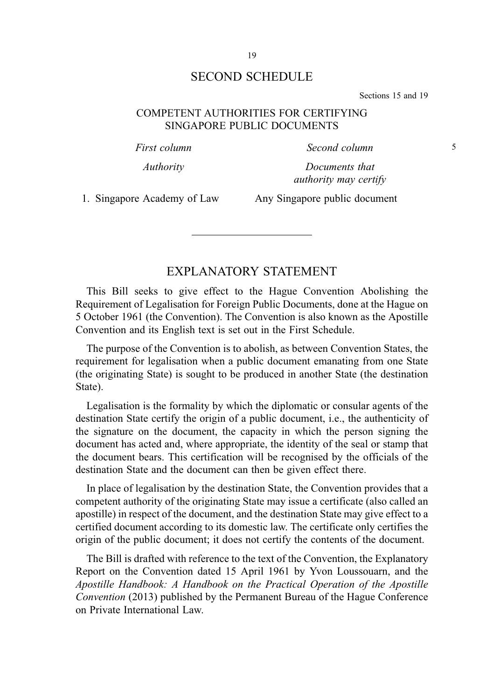# SECOND SCHEDULE

Sections 15 and 19

## COMPETENT AUTHORITIES FOR CERTIFYING SINGAPORE PUBLIC DOCUMENTS

First column Second column 5

Authority Documents that authority may certify

1. Singapore Academy of Law Any Singapore public document

## EXPLANATORY STATEMENT

This Bill seeks to give effect to the Hague Convention Abolishing the Requirement of Legalisation for Foreign Public Documents, done at the Hague on 5 October 1961 (the Convention). The Convention is also known as the Apostille Convention and its English text is set out in the First Schedule.

The purpose of the Convention is to abolish, as between Convention States, the requirement for legalisation when a public document emanating from one State (the originating State) is sought to be produced in another State (the destination State).

Legalisation is the formality by which the diplomatic or consular agents of the destination State certify the origin of a public document, i.e., the authenticity of the signature on the document, the capacity in which the person signing the document has acted and, where appropriate, the identity of the seal or stamp that the document bears. This certification will be recognised by the officials of the destination State and the document can then be given effect there.

In place of legalisation by the destination State, the Convention provides that a competent authority of the originating State may issue a certificate (also called an apostille) in respect of the document, and the destination State may give effect to a certified document according to its domestic law. The certificate only certifies the origin of the public document; it does not certify the contents of the document.

The Bill is drafted with reference to the text of the Convention, the Explanatory Report on the Convention dated 15 April 1961 by Yvon Loussouarn, and the Apostille Handbook: A Handbook on the Practical Operation of the Apostille Convention (2013) published by the Permanent Bureau of the Hague Conference on Private International Law.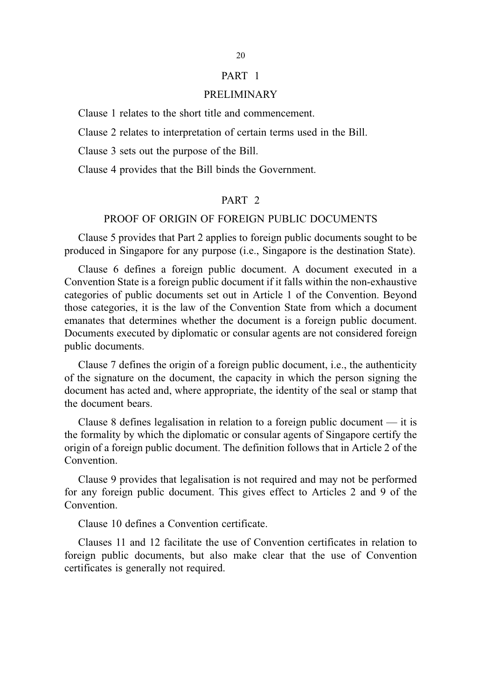#### PART 1

#### PRELIMINARY

Clause 1 relates to the short title and commencement.

Clause 2 relates to interpretation of certain terms used in the Bill.

Clause 3 sets out the purpose of the Bill.

Clause 4 provides that the Bill binds the Government.

### PART<sub>2</sub>

### PROOF OF ORIGIN OF FOREIGN PUBLIC DOCUMENTS

Clause 5 provides that Part 2 applies to foreign public documents sought to be produced in Singapore for any purpose (i.e., Singapore is the destination State).

Clause 6 defines a foreign public document. A document executed in a Convention State is a foreign public document if it falls within the non-exhaustive categories of public documents set out in Article 1 of the Convention. Beyond those categories, it is the law of the Convention State from which a document emanates that determines whether the document is a foreign public document. Documents executed by diplomatic or consular agents are not considered foreign public documents.

Clause 7 defines the origin of a foreign public document, i.e., the authenticity of the signature on the document, the capacity in which the person signing the document has acted and, where appropriate, the identity of the seal or stamp that the document bears.

Clause 8 defines legalisation in relation to a foreign public document  $-$  it is the formality by which the diplomatic or consular agents of Singapore certify the origin of a foreign public document. The definition follows that in Article 2 of the Convention.

Clause 9 provides that legalisation is not required and may not be performed for any foreign public document. This gives effect to Articles 2 and 9 of the Convention.

Clause 10 defines a Convention certificate.

Clauses 11 and 12 facilitate the use of Convention certificates in relation to foreign public documents, but also make clear that the use of Convention certificates is generally not required.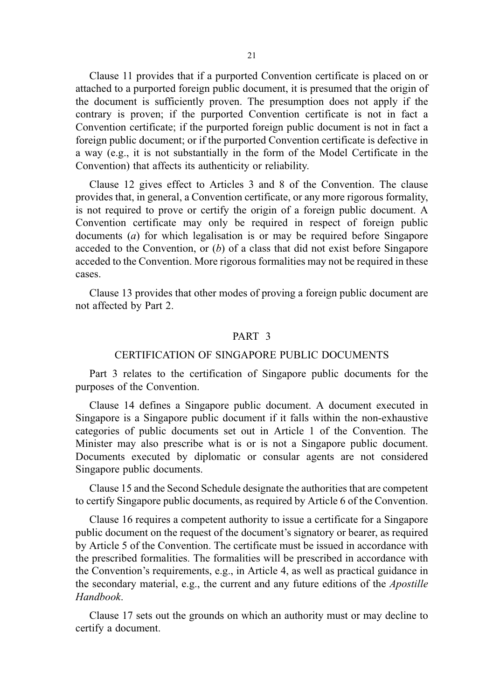Clause 11 provides that if a purported Convention certificate is placed on or attached to a purported foreign public document, it is presumed that the origin of the document is sufficiently proven. The presumption does not apply if the contrary is proven; if the purported Convention certificate is not in fact a Convention certificate; if the purported foreign public document is not in fact a foreign public document; or if the purported Convention certificate is defective in a way (e.g., it is not substantially in the form of the Model Certificate in the Convention) that affects its authenticity or reliability.

Clause 12 gives effect to Articles 3 and 8 of the Convention. The clause provides that, in general, a Convention certificate, or any more rigorous formality, is not required to prove or certify the origin of a foreign public document. A Convention certificate may only be required in respect of foreign public documents (a) for which legalisation is or may be required before Singapore acceded to the Convention, or  $(b)$  of a class that did not exist before Singapore acceded to the Convention. More rigorous formalities may not be required in these cases.

Clause 13 provides that other modes of proving a foreign public document are not affected by Part 2.

#### PART 3

#### CERTIFICATION OF SINGAPORE PUBLIC DOCUMENTS

Part 3 relates to the certification of Singapore public documents for the purposes of the Convention.

Clause 14 defines a Singapore public document. A document executed in Singapore is a Singapore public document if it falls within the non-exhaustive categories of public documents set out in Article 1 of the Convention. The Minister may also prescribe what is or is not a Singapore public document. Documents executed by diplomatic or consular agents are not considered Singapore public documents.

Clause 15 and the Second Schedule designate the authorities that are competent to certify Singapore public documents, as required by Article 6 of the Convention.

Clause 16 requires a competent authority to issue a certificate for a Singapore public document on the request of the document's signatory or bearer, as required by Article 5 of the Convention. The certificate must be issued in accordance with the prescribed formalities. The formalities will be prescribed in accordance with the Convention's requirements, e.g., in Article 4, as well as practical guidance in the secondary material, e.g., the current and any future editions of the Apostille Handbook.

Clause 17 sets out the grounds on which an authority must or may decline to certify a document.